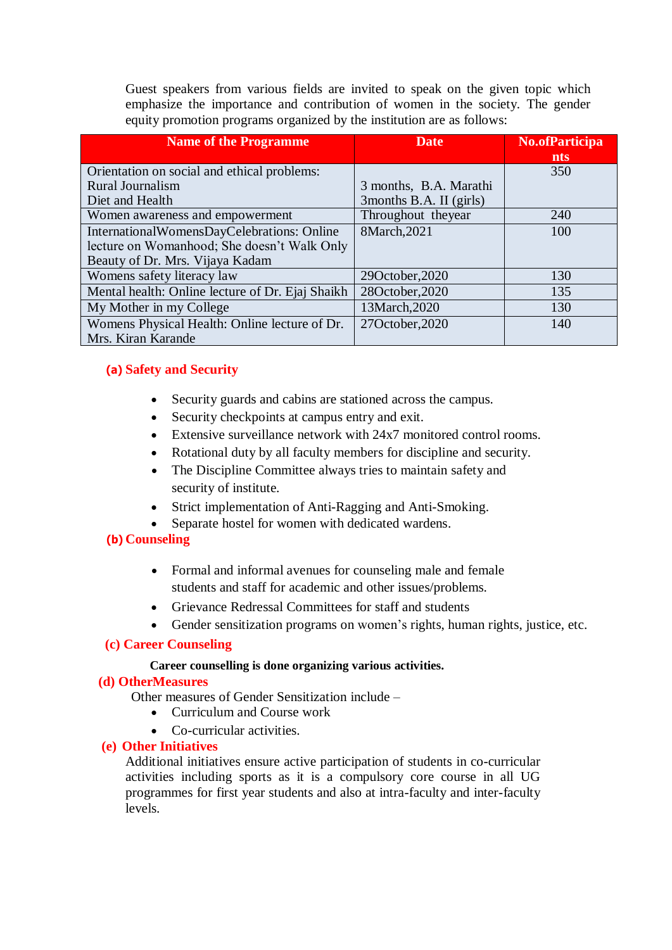Guest speakers from various fields are invited to speak on the given topic which emphasize the importance and contribution of women in the society. The gender equity promotion programs organized by the institution are as follows:

| <b>Name of the Programme</b>                     | <b>Date</b>              | No.ofParticipa<br>nts |
|--------------------------------------------------|--------------------------|-----------------------|
| Orientation on social and ethical problems:      |                          | 350                   |
| <b>Rural Journalism</b>                          | 3 months, B.A. Marathi   |                       |
| Diet and Health                                  | 3 months B.A. II (girls) |                       |
| Women awareness and empowerment                  | Throughout theyear       | 240                   |
| InternationalWomensDayCelebrations: Online       | 8March, 2021             | 100                   |
| lecture on Womanhood; She doesn't Walk Only      |                          |                       |
| Beauty of Dr. Mrs. Vijaya Kadam                  |                          |                       |
| Womens safety literacy law                       | 29October, 2020          | 130                   |
| Mental health: Online lecture of Dr. Ejaj Shaikh | 28October, 2020          | 135                   |
| My Mother in my College                          | 13March, 2020            | 130                   |
| Womens Physical Health: Online lecture of Dr.    | 27October, 2020          | 140                   |
| Mrs. Kiran Karande                               |                          |                       |

# **(a) Safety and Security**

- Security guards and cabins are stationed across the campus.
- Security checkpoints at campus entry and exit.
- Extensive surveillance network with 24x7 monitored control rooms.
- Rotational duty by all faculty members for discipline and security.
- The Discipline Committee always tries to maintain safety and security of institute.
- Strict implementation of Anti-Ragging and Anti-Smoking.
- Separate hostel for women with dedicated wardens.

# **(b) Counseling**

- Formal and informal avenues for counseling male and female students and staff for academic and other issues/problems.
- Grievance Redressal Committees for staff and students
- Gender sensitization programs on women's rights, human rights, justice, etc.

## **(c) Career Counseling**

## **Career counselling is done organizing various activities.**

## **(d) OtherMeasures**

Other measures of Gender Sensitization include –

- Curriculum and Course work
- Co-curricular activities.

## **(e) Other Initiatives**

Additional initiatives ensure active participation of students in co-curricular activities including sports as it is a compulsory core course in all UG programmes for first year students and also at intra-faculty and inter-faculty levels.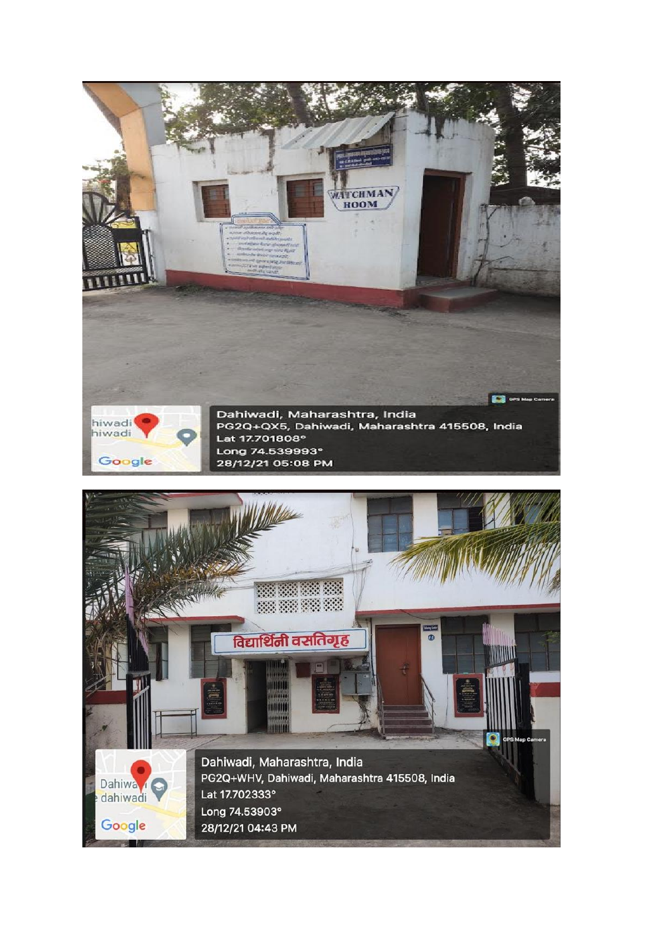